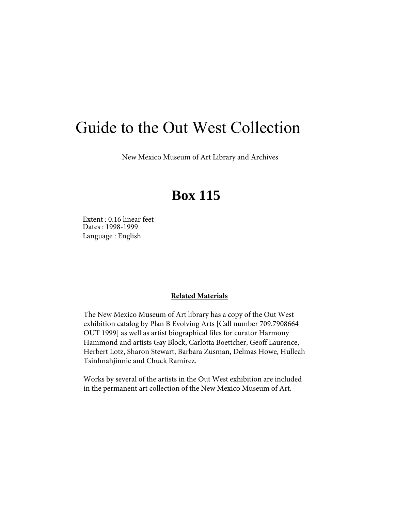# Guide to the Out West Collection

New Mexico Museum of Art Library and Archives

# **Box 115**

Dates : 1998-1999 Language : English Extent : 0.16 linear feet

#### **Related Materials**

The New Mexico Museum of Art library has a copy of the Out West exhibition catalog by Plan B Evolving Arts [Call number 709.7908664 OUT 1999] as well as artist biographical files for curator Harmony Hammond and artists Gay Block, Carlotta Boettcher, Geoff Laurence, Herbert Lotz, Sharon Stewart, Barbara Zusman, Delmas Howe, Hulleah Tsinhnahjinnie and Chuck Ramirez.

Works by several of the artists in the Out West exhibition are included in the permanent art collection of the New Mexico Museum of Art.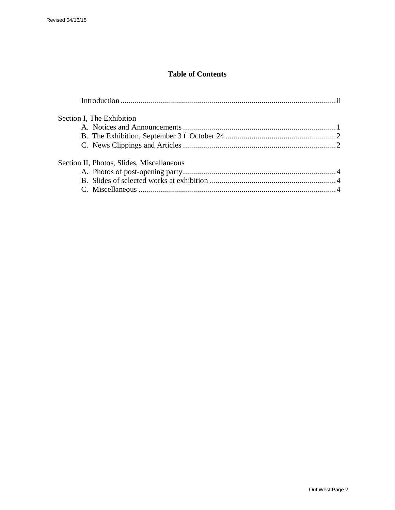## **Table of Contents**

| Section I, The Exhibition                 |  |
|-------------------------------------------|--|
|                                           |  |
|                                           |  |
|                                           |  |
| Section II, Photos, Slides, Miscellaneous |  |
|                                           |  |
|                                           |  |
|                                           |  |
|                                           |  |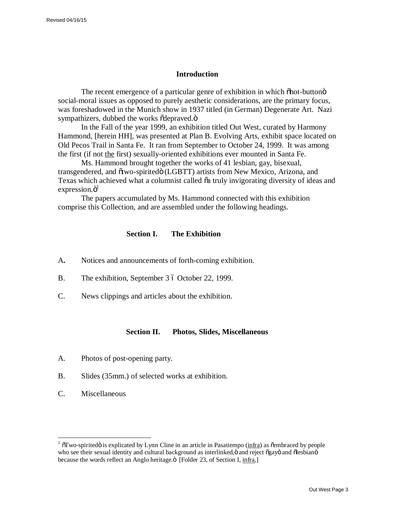#### **Introduction**

The recent emergence of a particular genre of exhibition in which  $\delta$ hot-button $\ddot{\text{o}}$ social-moral issues as opposed to purely aesthetic considerations, are the primary focus, was foreshadowed in the Munich show in 1937 titled (in German) Degenerate Art. Nazi sympathizers, dubbed the works  $\tilde{o}$ depraved. $\tilde{o}$ 

In the Fall of the year 1999, an exhibition titled Out West, curated by Harmony Hammond, [herein HH], was presented at Plan B. Evolving Arts, exhibit space located on Old Pecos Trail in Santa Fe. It ran from September to October 24, 1999. It was among the first (if not the first) sexually-oriented exhibitions ever mounted in Santa Fe.

Ms. Hammond brought together the works of 41 lesbian, gay, bisexual, transgendered, and õtwo-spiritedö (LGBTT) artists from New Mexico, Arizona, and Texas which achieved what a columnist called  $\tilde{a}$  truly invigorating diversity of ideas and expression.ö<sup>1</sup>

The papers accumulated by Ms. Hammond connected with this exhibition comprise this Collection, and are assembled under the following headings.

#### **Section I. The Exhibition**

- A**.** Notices and announcements of forth-coming exhibition.
- B. The exhibition, September 3 6 October 22, 1999.
- C. News clippings and articles about the exhibition.

#### **Section II. Photos, Slides, Miscellaneous**

- A. Photos of post-opening party.
- B. Slides (35mm.) of selected works at exhibition.
- C. Miscellaneous

 $1$ <sup>1</sup>  $\sigma$ Two-spirited $\ddot{\sigma}$  is explicated by Lynn Cline in an article in Pasatiempo (infra) as  $\ddot{\sigma}$ embraced by people who see their sexual identity and cultural background as interlinked, ö and reject õgayö and õlesbianö because the words reflect an Anglo heritage. TFolder 23, of Section I, infra,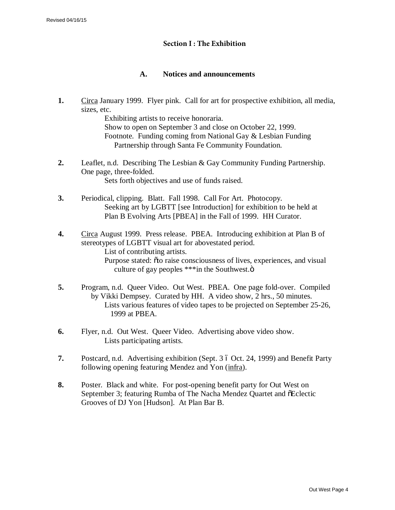#### **Section I : The Exhibition**

### **A. Notices and announcements**

**1.** Circa January 1999. Flyer pink. Call for art for prospective exhibition, all media, sizes, etc.

> Exhibiting artists to receive honoraria. Show to open on September 3 and close on October 22, 1999. Footnote. Funding coming from National Gay & Lesbian Funding Partnership through Santa Fe Community Foundation.

- **2.** Leaflet, n.d. Describing The Lesbian & Gay Community Funding Partnership. One page, three-folded. Sets forth objectives and use of funds raised.
- **3.** Periodical, clipping. Blatt. Fall 1998. Call For Art. Photocopy. Seeking art by LGBTT [see Introduction] for exhibition to be held at Plan B Evolving Arts [PBEA] in the Fall of 1999. HH Curator.
- **4.** Circa August 1999. Press release. PBEA. Introducing exhibition at Plan B of stereotypes of LGBTT visual art for abovestated period. List of contributing artists. Purpose stated:  $\tilde{o}$  to raise consciousness of lives, experiences, and visual culture of gay peoples  $***$ in the Southwest. $\ddot{\text{o}}$
- **5.** Program, n.d. Queer Video. Out West. PBEA. One page fold-over. Compiled by Vikki Dempsey. Curated by HH. A video show, 2 hrs., 50 minutes. Lists various features of video tapes to be projected on September 25-26, 1999 at PBEA.
- **6.** Flyer, n.d. Out West. Queer Video. Advertising above video show. Lists participating artists.
- **7.** Postcard, n.d. Advertising exhibition (Sept. 3 6 Oct. 24, 1999) and Benefit Party following opening featuring Mendez and Yon (infra).
- **8.** Poster. Black and white. For post-opening benefit party for Out West on September 3; featuring Rumba of The Nacha Mendez Quartet and  $\delta$ Eclectic Grooves of DJ Yon [Hudson]. At Plan Bar B.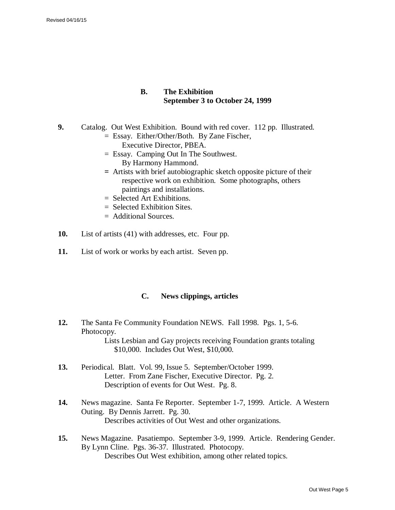#### **B. The Exhibition September 3 to October 24, 1999**

- **9.** Catalog. Out West Exhibition. Bound with red cover. 112 pp. Illustrated.
	- = Essay. Either/Other/Both. By Zane Fischer, Executive Director, PBEA.
	- = Essay. Camping Out In The Southwest. By Harmony Hammond.
	- **=** Artists with brief autobiographic sketch opposite picture of their respective work on exhibition. Some photographs, others paintings and installations.
	- = Selected Art Exhibitions.
	- $=$  Selected Exhibition Sites.
	- = Additional Sources.
- **10.** List of artists (41) with addresses, etc. Four pp.
- **11.** List of work or works by each artist. Seven pp.

#### **C. News clippings, articles**

- **12.** The Santa Fe Community Foundation NEWS. Fall 1998. Pgs. 1, 5-6. Photocopy. Lists Lesbian and Gay projects receiving Foundation grants totaling \$10,000. Includes Out West, \$10,000.
- **13.** Periodical. Blatt. Vol. 99, Issue 5. September/October 1999. Letter. From Zane Fischer, Executive Director. Pg. 2. Description of events for Out West. Pg. 8.
- **14.** News magazine. Santa Fe Reporter. September 1-7, 1999. Article. A Western Outing. By Dennis Jarrett. Pg. 30. Describes activities of Out West and other organizations.
- **15.** News Magazine. Pasatiempo. September 3-9, 1999. Article. Rendering Gender. By Lynn Cline. Pgs. 36-37. Illustrated. Photocopy. Describes Out West exhibition, among other related topics.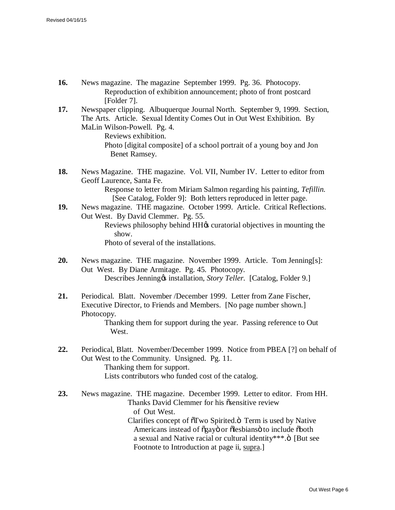- **16.** News magazine. The magazine September 1999. Pg. 36. Photocopy. Reproduction of exhibition announcement; photo of front postcard [Folder 7].
- **17.** Newspaper clipping. Albuquerque Journal North. September 9, 1999. Section, The Arts. Article. Sexual Identity Comes Out in Out West Exhibition. By MaLin Wilson-Powell. Pg. 4.

Reviews exhibition. Photo [digital composite] of a school portrait of a young boy and Jon Benet Ramsey.

**18.** News Magazine. THE magazine. Vol. VII, Number IV. Letter to editor from Geoff Laurence, Santa Fe.

Response to letter from Miriam Salmon regarding his painting, *Tefillin.* [See Catalog, Folder 9]: Both letters reproduced in letter page.

**19.** News magazine. THE magazine. October 1999. Article. Critical Reflections. Out West. By David Clemmer. Pg. 55. Reviews philosophy behind HH $\alpha$  curatorial objectives in mounting the show.

Photo of several of the installations.

- **20.** News magazine. THE magazine. November 1999. Article. Tom Jenning[s]: Out West. By Diane Armitage. Pg. 45. Photocopy. Describes Jenning & installation, *Story Teller.* [Catalog, Folder 9.]
- **21.** Periodical. Blatt. November /December 1999. Letter from Zane Fischer, Executive Director, to Friends and Members. [No page number shown.] Photocopy.

Thanking them for support during the year. Passing reference to Out West.

- **22.** Periodical, Blatt. November/December 1999. Notice from PBEA [?] on behalf of Out West to the Community. Unsigned. Pg. 11. Thanking them for support. Lists contributors who funded cost of the catalog.
- **23.** News magazine. THE magazine. December 1999. Letter to editor. From HH. Thanks David Clemmer for his <sub>O</sub> Sensitive review of Out West. Clarifies concept of  $\tilde{\sigma}$ Two Spirited. $\ddot{\sigma}$  Term is used by Native Americans instead of õgayö or õlesbiansö to include õboth a sexual and Native racial or cultural identity\*\*\*. $\ddot{o}$  [But see Footnote to Introduction at page ii, supra.]